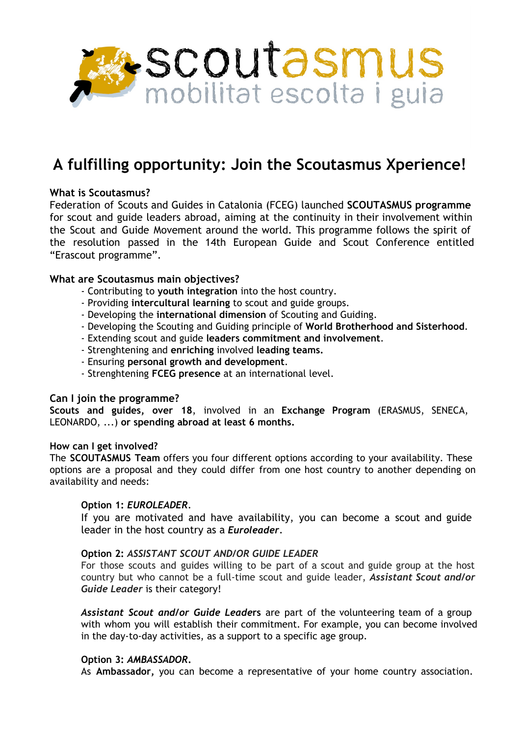

# **A fulfilling opportunity: Join the Scoutasmus Xperience!**

## **What is Scoutasmus?**

Federation of Scouts and Guides in Catalonia (FCEG) launched **SCOUTASMUS programme** for scout and guide leaders abroad, aiming at the continuity in their involvement within the Scout and Guide Movement around the world. This programme follows the spirit of the resolution passed in the 14th European Guide and Scout Conference entitled "Erascout programme".

### **What are Scoutasmus main objectives?**

- Contributing to **youth integration** into the host country.
- Providing **intercultural learning** to scout and guide groups.
- Developing the **international dimension** of Scouting and Guiding.
- Developing the Scouting and Guiding principle of **World Brotherhood and Sisterhood**.
- Extending scout and guide **leaders commitment and involvement**.
- Strenghtening and **enriching** involved **leading teams.**
- Ensuring **personal growth and development**.
- Strenghtening **FCEG presence** at an international level.

#### **Can I join the programme?**

**Scouts and guides, over 18**, involved in an **Exchange Program** (ERASMUS, SENECA, LEONARDO, ...) **or spending abroad at least 6 months.**

#### **How can I get involved?**

The **SCOUTASMUS Team** offers you four different options according to your availability. These options are a proposal and they could differ from one host country to another depending on availability and needs:

#### **Option 1:** *EUROLEADER.*

If you are motivated and have availability, you can become a scout and guide leader in the host country as a *Euroleader*.

#### **Option 2:** *ASSISTANT SCOUT AND/OR GUIDE LEADER*

For those scouts and guides willing to be part of a scout and guide group at the host country but who cannot be a full-time scout and guide leader, *Assistant Scout and/or Guide Leader* is their category!

*Assistant Scout and/or Guide Leade***rs** are part of the volunteering team of a group with whom you will establish their commitment. For example, you can become involved in the day-to-day activities, as a support to a specific age group.

#### **Option 3:** *AMBASSADOR***.**

As **Ambassador,** you can become a representative of your home country association.